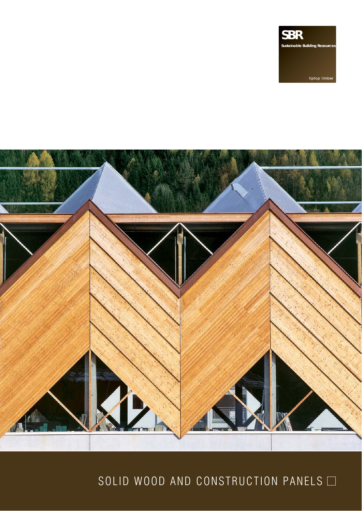**SBR Sustainable Building Resources**

tiptop timber



# SOLID WOOD AND CONSTRUCTION PANELS  $\Box$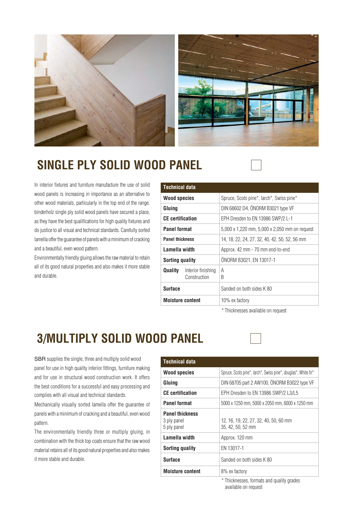

### **SINGLE PLY SOLID WOOD PANEL**

In interior fixtures and furniture manufacture the use of solid wood panels is increasing in importance as an alternative to other wood materials, particularly in the top end of the range. binderholz single ply solid wood panels have secured a place, as they have the best qualifications for high quality fixtures and do justice to all visual and technical standards. Carefully sorted lamella offer the guarantee of panels with a minimum of cracking and a beautiful, even wood pattern.

Environmentally friendly gluing allows the raw material to retain all of its good natural properties and also makes it more stable and durable.

| <b>Technical data</b>                         |                                               |
|-----------------------------------------------|-----------------------------------------------|
| <b>Wood species</b>                           | Spruce, Scots pine*, larch*, Swiss pine*      |
| Gluing                                        | DIN 68602 D4, ÖNORM B3021 type VF             |
| <b>CE</b> certification                       | EPH Dresden to EN 13986 SWP/2 L-1             |
| <b>Panel format</b>                           | 5,000 x 1,220 mm, 5,000 x 2,050 mm on request |
| <b>Panel thickness</b>                        | 14, 18, 22, 24, 27, 32, 40, 42, 50, 52, 56 mm |
| Lamella width                                 | Approx. 42 mm - 70 mm end-to-end              |
| Sorting quality                               | ÖNORM B3021, EN 13017-1                       |
| Quality<br>Interior finishing<br>Construction | A<br>B                                        |
| Surface                                       | Sanded on both sides K 80                     |
| <b>Moisture content</b>                       | 10% ex factory                                |

\* Thicknesses available on request

## **3/MULTIPLY SOLID WOOD PANEL**

SBR supplies the single, three and multiply solid wood panel for use in high quality interior fittings, furniture making and for use in structural wood construction work. It offers the best conditions for a successful and easy processing and complies with all visual and technical standards.

Mechanically visually sorted lamella offer the guarantee of panels with a minimum of cracking and a beautiful, even wood pattern.

The environmentally friendly three or multiply gluing, in combination with the thick top coats ensure that the raw wood material retains all of its good natural properties and also makes it more stable and durable.

| <b>Technical data</b>                                |                                                                |  |  |  |  |  |
|------------------------------------------------------|----------------------------------------------------------------|--|--|--|--|--|
| <b>Wood species</b>                                  | Spruce, Scots pine*, larch*, Swiss pine*, douglas*, White fir* |  |  |  |  |  |
| Gluing                                               | DIN 68705 part 2 AW100, ÖNORM B3022 type VF                    |  |  |  |  |  |
| <b>CE</b> certification                              | EPH Dresden to EN 13986 SWP/2 L3/L5                            |  |  |  |  |  |
| <b>Panel format</b>                                  | 5000 x 1250 mm, 5000 x 2050 mm, 6000 x 1250 mm                 |  |  |  |  |  |
| <b>Panel thickness</b><br>3 ply panel<br>5 ply panel | 12, 16, 19, 22, 27, 32, 40, 50, 60 mm<br>35, 42, 50, 52 mm     |  |  |  |  |  |
| Lamella width                                        | Approx. 120 mm                                                 |  |  |  |  |  |
| <b>Sorting quality</b>                               | EN 13017-1                                                     |  |  |  |  |  |
| <b>Surface</b>                                       | Sanded on both sides K 80                                      |  |  |  |  |  |
| <b>Moisture content</b>                              | 8% ex factory                                                  |  |  |  |  |  |

\* Thicknesses, formats and quality grades available on request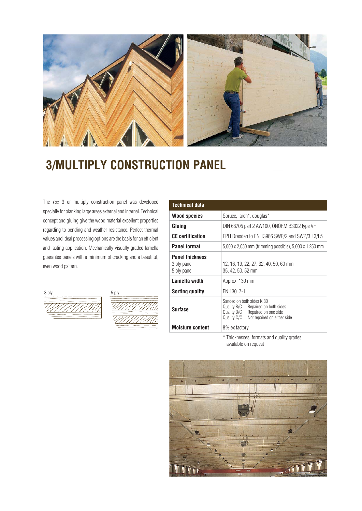

### **3/MULTIPLY CONSTRUCTION PANEL**

The sbr 3 or multiply construction panel was developed specially for planking large areas external and internal. Technical concept and gluing give the wood material excellent properties regarding to bending and weather resistance. Perfect thermal values and ideal processing options are the basis for an efficient and lasting application. Mechanically visually graded lamella guarantee panels with a minimum of cracking and a beautiful, even wood pattern.





| <b>Technical data</b>                                |                                                                                                                                                       |  |  |  |  |  |  |
|------------------------------------------------------|-------------------------------------------------------------------------------------------------------------------------------------------------------|--|--|--|--|--|--|
| <b>Wood species</b>                                  | Spruce, larch*, douglas*                                                                                                                              |  |  |  |  |  |  |
| Gluing                                               | DIN 68705 part 2 AW100, ÖNORM B3022 type VF                                                                                                           |  |  |  |  |  |  |
| <b>CE</b> certification                              | EPH Dresden to EN 13986 SWP/2 and SWP/3 L3/L5                                                                                                         |  |  |  |  |  |  |
| <b>Panel format</b>                                  | 5,000 x 2,050 mm (trimming possible), 5,000 x 1,250 mm                                                                                                |  |  |  |  |  |  |
| <b>Panel thickness</b><br>3 ply panel<br>5 ply panel | 12, 16, 19, 22, 27, 32, 40, 50, 60 mm<br>35, 42, 50, 52 mm                                                                                            |  |  |  |  |  |  |
| Lamella width                                        | Approx. 130 mm                                                                                                                                        |  |  |  |  |  |  |
| Sorting quality                                      | EN 13017-1                                                                                                                                            |  |  |  |  |  |  |
| <b>Surface</b>                                       | Sanded on both sides K 80<br>Quality B/C+ Repaired on both sides<br>Quality B/C<br>Repaired on one side<br>Quality C/C<br>Not repaired on either side |  |  |  |  |  |  |
| <b>Moisture content</b>                              | 8% ex factory                                                                                                                                         |  |  |  |  |  |  |

\* Thicknesses, formats and quality grades available on request